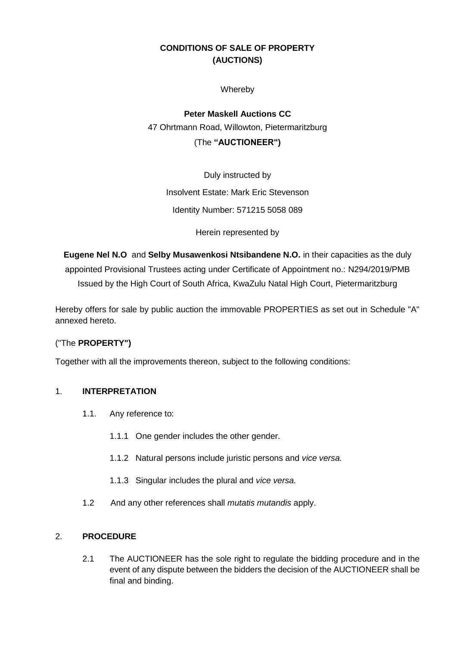# **CONDITIONS OF SALE OF PROPERTY (AUCTIONS)**

Whereby

**Peter Maskell Auctions CC** 47 Ohrtmann Road, Willowton, Pietermaritzburg (The **"AUCTIONEER")**

Duly instructed by Insolvent Estate: Mark Eric Stevenson Identity Number: 571215 5058 089

Herein represented by

**Eugene Nel N.O** and **Selby Musawenkosi Ntsibandene N.O.** in their capacities as the duly appointed Provisional Trustees acting under Certificate of Appointment no.: N294/2019/PMB Issued by the High Court of South Africa, KwaZulu Natal High Court, Pietermaritzburg

Hereby offers for sale by public auction the immovable PROPERTIES as set out in Schedule "A" annexed hereto.

### ("The **PROPERTY")**

Together with all the improvements thereon, subject to the following conditions:

### 1. **INTERPRETATION**

- 1.1. Any reference to:
	- 1.1.1 One gender includes the other gender.
	- 1.1.2 Natural persons include juristic persons and *vice versa.*
	- 1.1.3 Singular includes the plural and *vice versa.*
- 1.2 And any other references shall *mutatis mutandis* apply.

# 2. **PROCEDURE**

2.1 The AUCTIONEER has the sole right to regulate the bidding procedure and in the event of any dispute between the bidders the decision of the AUCTIONEER shall be final and binding.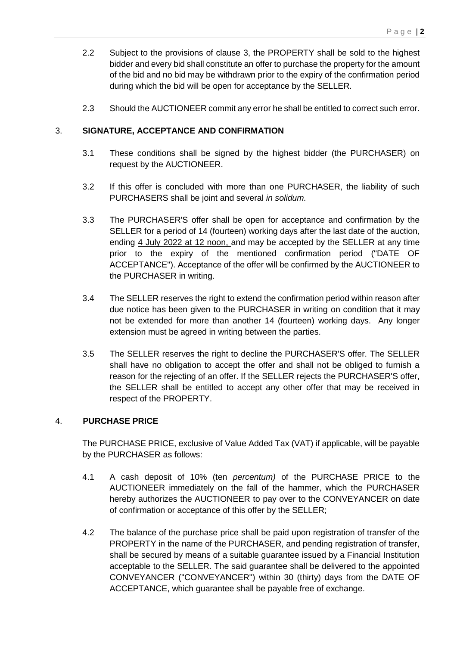- 2.2 Subject to the provisions of clause [3,](#page-1-0) the PROPERTY shall be sold to the highest bidder and every bid shall constitute an offer to purchase the property for the amount of the bid and no bid may be withdrawn prior to the expiry of the confirmation period during which the bid will be open for acceptance by the SELLER.
- 2.3 Should the AUCTIONEER commit any error he shall be entitled to correct such error.

## <span id="page-1-0"></span>3. **SIGNATURE, ACCEPTANCE AND CONFIRMATION**

- 3.1 These conditions shall be signed by the highest bidder (the PURCHASER) on request by the AUCTIONEER.
- 3.2 If this offer is concluded with more than one PURCHASER, the liability of such PURCHASERS shall be joint and several *in solidum.*
- <span id="page-1-2"></span>3.3 The PURCHASER'S offer shall be open for acceptance and confirmation by the SELLER for a period of 14 (fourteen) working days after the last date of the auction, ending 4 July 2022 at 12 noon, and may be accepted by the SELLER at any time prior to the expiry of the mentioned confirmation period ("DATE OF ACCEPTANCE"). Acceptance of the offer will be confirmed by the AUCTIONEER to the PURCHASER in writing.
- 3.4 The SELLER reserves the right to extend the confirmation period within reason after due notice has been given to the PURCHASER in writing on condition that it may not be extended for more than another 14 (fourteen) working days. Any longer extension must be agreed in writing between the parties.
- 3.5 The SELLER reserves the right to decline the PURCHASER'S offer. The SELLER shall have no obligation to accept the offer and shall not be obliged to furnish a reason for the rejecting of an offer. If the SELLER rejects the PURCHASER'S offer, the SELLER shall be entitled to accept any other offer that may be received in respect of the PROPERTY.

### 4. **PURCHASE PRICE**

The PURCHASE PRICE, exclusive of Value Added Tax (VAT) if applicable, will be payable by the PURCHASER as follows:

- 4.1 A cash deposit of 10% (ten *percentum)* of the PURCHASE PRICE to the AUCTIONEER immediately on the fall of the hammer, which the PURCHASER hereby authorizes the AUCTIONEER to pay over to the CONVEYANCER on date of confirmation or acceptance of this offer by the SELLER;
- <span id="page-1-1"></span>4.2 The balance of the purchase price shall be paid upon registration of transfer of the PROPERTY in the name of the PURCHASER, and pending registration of transfer, shall be secured by means of a suitable guarantee issued by a Financial Institution acceptable to the SELLER. The said guarantee shall be delivered to the appointed CONVEYANCER ("CONVEYANCER") within 30 (thirty) days from the DATE OF ACCEPTANCE, which guarantee shall be payable free of exchange.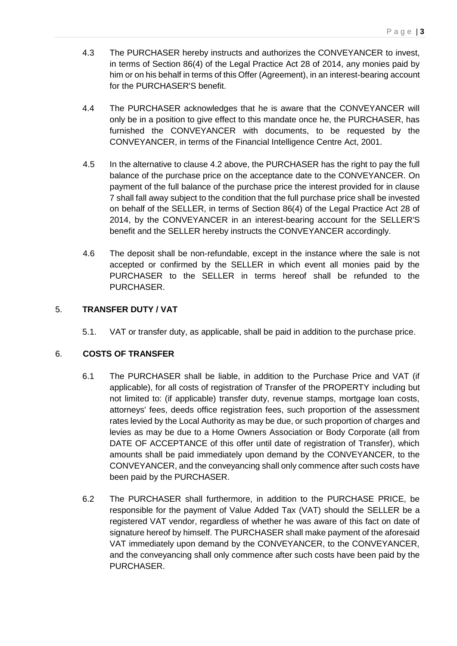- 4.3 The PURCHASER hereby instructs and authorizes the CONVEYANCER to invest, in terms of Section 86(4) of the Legal Practice Act 28 of 2014, any monies paid by him or on his behalf in terms of this Offer (Agreement), in an interest-bearing account for the PURCHASER'S benefit.
- 4.4 The PURCHASER acknowledges that he is aware that the CONVEYANCER will only be in a position to give effect to this mandate once he, the PURCHASER, has furnished the CONVEYANCER with documents, to be requested by the CONVEYANCER, in terms of the Financial Intelligence Centre Act, 2001.
- 4.5 In the alternative to clause [4.2](#page-1-1) above, the PURCHASER has the right to pay the full balance of the purchase price on the acceptance date to the CONVEYANCER. On payment of the full balance of the purchase price the interest provided for in clause [7](#page-3-0) shall fall away subject to the condition that the full purchase price shall be invested on behalf of the SELLER, in terms of Section 86(4) of the Legal Practice Act 28 of 2014, by the CONVEYANCER in an interest-bearing account for the SELLER'S benefit and the SELLER hereby instructs the CONVEYANCER accordingly.
- 4.6 The deposit shall be non-refundable, except in the instance where the sale is not accepted or confirmed by the SELLER in which event all monies paid by the PURCHASER to the SELLER in terms hereof shall be refunded to the PURCHASER.

## 5. **TRANSFER DUTY / VAT**

5.1. VAT or transfer duty, as applicable, shall be paid in addition to the purchase price.

### 6. **COSTS OF TRANSFER**

- 6.1 The PURCHASER shall be liable, in addition to the Purchase Price and VAT (if applicable), for all costs of registration of Transfer of the PROPERTY including but not limited to: (if applicable) transfer duty, revenue stamps, mortgage loan costs, attorneys' fees, deeds office registration fees, such proportion of the assessment rates levied by the Local Authority as may be due, or such proportion of charges and levies as may be due to a Home Owners Association or Body Corporate (all from DATE OF ACCEPTANCE of this offer until date of registration of Transfer), which amounts shall be paid immediately upon demand by the CONVEYANCER, to the CONVEYANCER, and the conveyancing shall only commence after such costs have been paid by the PURCHASER.
- 6.2 The PURCHASER shall furthermore, in addition to the PURCHASE PRICE, be responsible for the payment of Value Added Tax (VAT) should the SELLER be a registered VAT vendor, regardless of whether he was aware of this fact on date of signature hereof by himself. The PURCHASER shall make payment of the aforesaid VAT immediately upon demand by the CONVEYANCER, to the CONVEYANCER, and the conveyancing shall only commence after such costs have been paid by the PURCHASER.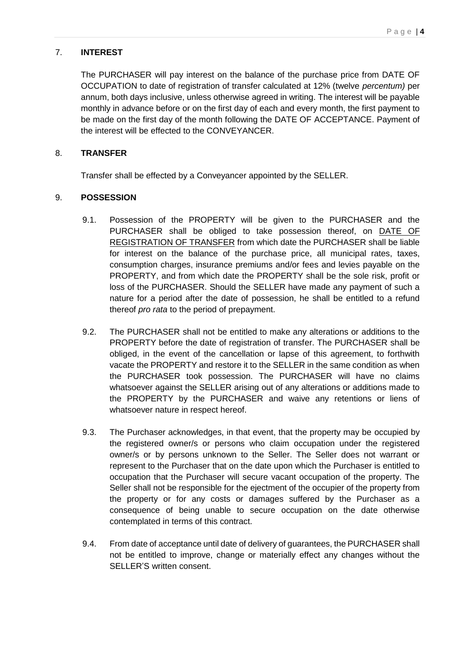## <span id="page-3-0"></span>7. **INTEREST**

The PURCHASER will pay interest on the balance of the purchase price from DATE OF OCCUPATION to date of registration of transfer calculated at 12% (twelve *percentum)* per annum, both days inclusive, unless otherwise agreed in writing. The interest will be payable monthly in advance before or on the first day of each and every month, the first payment to be made on the first day of the month following the DATE OF ACCEPTANCE. Payment of the interest will be effected to the CONVEYANCER.

## 8. **TRANSFER**

Transfer shall be effected by a Conveyancer appointed by the SELLER.

## 9. **POSSESSION**

- 9.1. Possession of the PROPERTY will be given to the PURCHASER and the PURCHASER shall be obliged to take possession thereof, on DATE OF REGISTRATION OF TRANSFER from which date the PURCHASER shall be liable for interest on the balance of the purchase price, all municipal rates, taxes, consumption charges, insurance premiums and/or fees and levies payable on the PROPERTY, and from which date the PROPERTY shall be the sole risk, profit or loss of the PURCHASER. Should the SELLER have made any payment of such a nature for a period after the date of possession, he shall be entitled to a refund thereof *pro rata* to the period of prepayment.
- 9.2. The PURCHASER shall not be entitled to make any alterations or additions to the PROPERTY before the date of registration of transfer. The PURCHASER shall be obliged, in the event of the cancellation or lapse of this agreement, to forthwith vacate the PROPERTY and restore it to the SELLER in the same condition as when the PURCHASER took possession. The PURCHASER will have no claims whatsoever against the SELLER arising out of any alterations or additions made to the PROPERTY by the PURCHASER and waive any retentions or liens of whatsoever nature in respect hereof.
- 9.3. The Purchaser acknowledges, in that event, that the property may be occupied by the registered owner/s or persons who claim occupation under the registered owner/s or by persons unknown to the Seller. The Seller does not warrant or represent to the Purchaser that on the date upon which the Purchaser is entitled to occupation that the Purchaser will secure vacant occupation of the property. The Seller shall not be responsible for the ejectment of the occupier of the property from the property or for any costs or damages suffered by the Purchaser as a consequence of being unable to secure occupation on the date otherwise contemplated in terms of this contract.
- 9.4. From date of acceptance until date of delivery of guarantees, the PURCHASER shall not be entitled to improve, change or materially effect any changes without the SELLER'S written consent.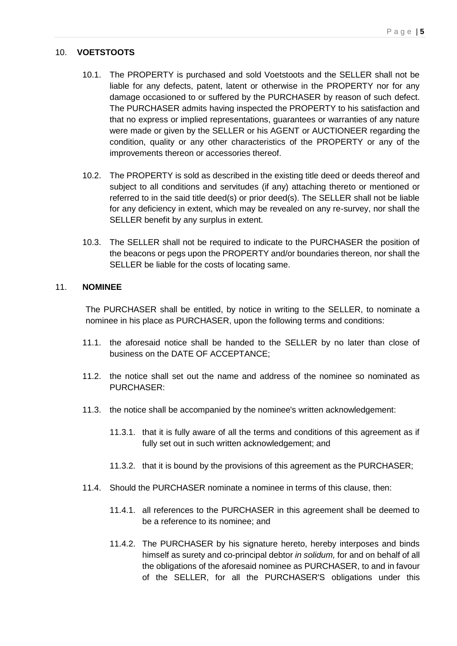#### 10. **VOETSTOOTS**

- 10.1. The PROPERTY is purchased and sold Voetstoots and the SELLER shall not be liable for any defects, patent, latent or otherwise in the PROPERTY nor for any damage occasioned to or suffered by the PURCHASER by reason of such defect. The PURCHASER admits having inspected the PROPERTY to his satisfaction and that no express or implied representations, guarantees or warranties of any nature were made or given by the SELLER or his AGENT or AUCTIONEER regarding the condition, quality or any other characteristics of the PROPERTY or any of the improvements thereon or accessories thereof.
- 10.2. The PROPERTY is sold as described in the existing title deed or deeds thereof and subject to all conditions and servitudes (if any) attaching thereto or mentioned or referred to in the said title deed(s) or prior deed(s). The SELLER shall not be liable for any deficiency in extent, which may be revealed on any re-survey, nor shall the SELLER benefit by any surplus in extent.
- 10.3. The SELLER shall not be required to indicate to the PURCHASER the position of the beacons or pegs upon the PROPERTY and/or boundaries thereon, nor shall the SELLER be liable for the costs of locating same.

#### 11. **NOMINEE**

The PURCHASER shall be entitled, by notice in writing to the SELLER, to nominate a nominee in his place as PURCHASER, upon the following terms and conditions:

- 11.1. the aforesaid notice shall be handed to the SELLER by no later than close of business on the DATE OF ACCEPTANCE;
- 11.2. the notice shall set out the name and address of the nominee so nominated as PURCHASER:
- 11.3. the notice shall be accompanied by the nominee's written acknowledgement:
	- 11.3.1. that it is fully aware of all the terms and conditions of this agreement as if fully set out in such written acknowledgement; and
	- 11.3.2. that it is bound by the provisions of this agreement as the PURCHASER;
- 11.4. Should the PURCHASER nominate a nominee in terms of this clause, then:
	- 11.4.1. all references to the PURCHASER in this agreement shall be deemed to be a reference to its nominee; and
	- 11.4.2. The PURCHASER by his signature hereto, hereby interposes and binds himself as surety and co-principal debtor *in solidum,* for and on behalf of all the obligations of the aforesaid nominee as PURCHASER, to and in favour of the SELLER, for all the PURCHASER'S obligations under this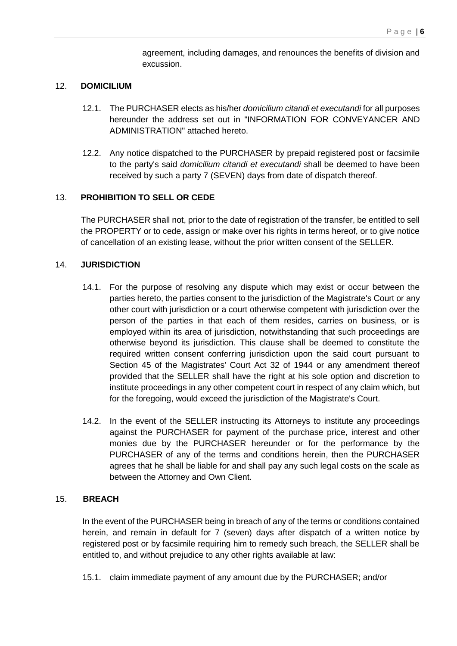agreement, including damages, and renounces the benefits of division and excussion.

#### 12. **DOMICILIUM**

- 12.1. The PURCHASER elects as his/her *domicilium citandi et executandi* for all purposes hereunder the address set out in "INFORMATION FOR CONVEYANCER AND ADMINISTRATION" attached hereto.
- 12.2. Any notice dispatched to the PURCHASER by prepaid registered post or facsimile to the party's said *domicilium citandi et executandi* shall be deemed to have been received by such a party 7 (SEVEN) days from date of dispatch thereof.

## 13. **PROHIBITION TO SELL OR CEDE**

The PURCHASER shall not, prior to the date of registration of the transfer, be entitled to sell the PROPERTY or to cede, assign or make over his rights in terms hereof, or to give notice of cancellation of an existing lease, without the prior written consent of the SELLER.

### 14. **JURISDICTION**

- 14.1. For the purpose of resolving any dispute which may exist or occur between the parties hereto, the parties consent to the jurisdiction of the Magistrate's Court or any other court with jurisdiction or a court otherwise competent with jurisdiction over the person of the parties in that each of them resides, carries on business, or is employed within its area of jurisdiction, notwithstanding that such proceedings are otherwise beyond its jurisdiction. This clause shall be deemed to constitute the required written consent conferring jurisdiction upon the said court pursuant to Section 45 of the Magistrates' Court Act 32 of 1944 or any amendment thereof provided that the SELLER shall have the right at his sole option and discretion to institute proceedings in any other competent court in respect of any claim which, but for the foregoing, would exceed the jurisdiction of the Magistrate's Court.
- 14.2. In the event of the SELLER instructing its Attorneys to institute any proceedings against the PURCHASER for payment of the purchase price, interest and other monies due by the PURCHASER hereunder or for the performance by the PURCHASER of any of the terms and conditions herein, then the PURCHASER agrees that he shall be liable for and shall pay any such legal costs on the scale as between the Attorney and Own Client.

## 15. **BREACH**

In the event of the PURCHASER being in breach of any of the terms or conditions contained herein, and remain in default for 7 (seven) days after dispatch of a written notice by registered post or by facsimile requiring him to remedy such breach, the SELLER shall be entitled to, and without prejudice to any other rights available at law:

15.1. claim immediate payment of any amount due by the PURCHASER; and/or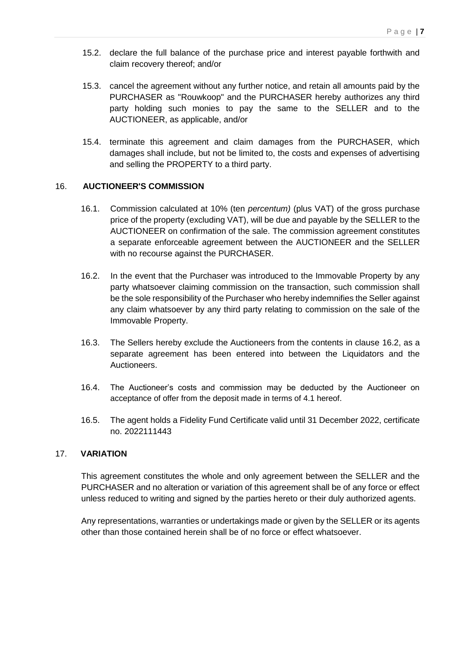- 15.2. declare the full balance of the purchase price and interest payable forthwith and claim recovery thereof; and/or
- 15.3. cancel the agreement without any further notice, and retain all amounts paid by the PURCHASER as "Rouwkoop" and the PURCHASER hereby authorizes any third party holding such monies to pay the same to the SELLER and to the AUCTIONEER, as applicable, and/or
- 15.4. terminate this agreement and claim damages from the PURCHASER, which damages shall include, but not be limited to, the costs and expenses of advertising and selling the PROPERTY to a third party.

### 16. **AUCTIONEER'S COMMISSION**

- 16.1. Commission calculated at 10% (ten *percentum)* (plus VAT) of the gross purchase price of the property (excluding VAT), will be due and payable by the SELLER to the AUCTIONEER on confirmation of the sale. The commission agreement constitutes a separate enforceable agreement between the AUCTIONEER and the SELLER with no recourse against the PURCHASER.
- <span id="page-6-0"></span>16.2. In the event that the Purchaser was introduced to the Immovable Property by any party whatsoever claiming commission on the transaction, such commission shall be the sole responsibility of the Purchaser who hereby indemnifies the Seller against any claim whatsoever by any third party relating to commission on the sale of the Immovable Property.
- 16.3. The Sellers hereby exclude the Auctioneers from the contents in clause [16.2,](#page-6-0) as a separate agreement has been entered into between the Liquidators and the Auctioneers.
- 16.4. The Auctioneer's costs and commission may be deducted by the Auctioneer on acceptance of offer from the deposit made in terms of 4.1 hereof.
- 16.5. The agent holds a Fidelity Fund Certificate valid until 31 December 2022, certificate no. 2022111443

### 17. **VARIATION**

This agreement constitutes the whole and only agreement between the SELLER and the PURCHASER and no alteration or variation of this agreement shall be of any force or effect unless reduced to writing and signed by the parties hereto or their duly authorized agents.

Any representations, warranties or undertakings made or given by the SELLER or its agents other than those contained herein shall be of no force or effect whatsoever.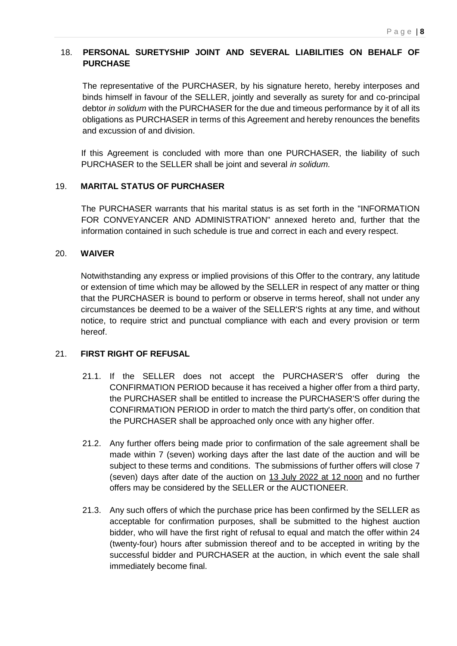## 18. **PERSONAL SURETYSHIP JOINT AND SEVERAL LIABILITIES ON BEHALF OF PURCHASE**

The representative of the PURCHASER, by his signature hereto, hereby interposes and binds himself in favour of the SELLER, jointly and severally as surety for and co-principal debtor *in solidum* with the PURCHASER for the due and timeous performance by it of all its obligations as PURCHASER in terms of this Agreement and hereby renounces the benefits and excussion of and division.

If this Agreement is concluded with more than one PURCHASER, the liability of such PURCHASER to the SELLER shall be joint and several *in solidum.*

### 19. **MARITAL STATUS OF PURCHASER**

The PURCHASER warrants that his marital status is as set forth in the "INFORMATION FOR CONVEYANCER AND ADMINISTRATION" annexed hereto and, further that the information contained in such schedule is true and correct in each and every respect.

#### 20. **WAIVER**

Notwithstanding any express or implied provisions of this Offer to the contrary, any latitude or extension of time which may be allowed by the SELLER in respect of any matter or thing that the PURCHASER is bound to perform or observe in terms hereof, shall not under any circumstances be deemed to be a waiver of the SELLER'S rights at any time, and without notice, to require strict and punctual compliance with each and every provision or term hereof.

### 21. **FIRST RIGHT OF REFUSAL**

- 21.1. If the SELLER does not accept the PURCHASER'S offer during the CONFIRMATION PERIOD because it has received a higher offer from a third party, the PURCHASER shall be entitled to increase the PURCHASER'S offer during the CONFIRMATION PERIOD in order to match the third party's offer, on condition that the PURCHASER shall be approached only once with any higher offer.
- 21.2. Any further offers being made prior to confirmation of the sale agreement shall be made within 7 (seven) working days after the last date of the auction and will be subject to these terms and conditions. The submissions of further offers will close 7 (seven) days after date of the auction on 13 July 2022 at 12 noon and no further offers may be considered by the SELLER or the AUCTIONEER.
- 21.3. Any such offers of which the purchase price has been confirmed by the SELLER as acceptable for confirmation purposes, shall be submitted to the highest auction bidder, who will have the first right of refusal to equal and match the offer within 24 (twenty-four) hours after submission thereof and to be accepted in writing by the successful bidder and PURCHASER at the auction, in which event the sale shall immediately become final.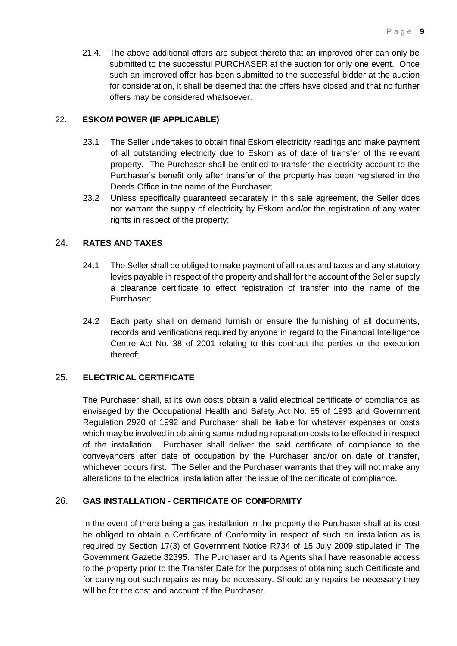21.4. The above additional offers are subject thereto that an improved offer can only be submitted to the successful PURCHASER at the auction for only one event. Once such an improved offer has been submitted to the successful bidder at the auction for consideration, it shall be deemed that the offers have closed and that no further offers may be considered whatsoever.

## 22. **ESKOM POWER (IF APPLICABLE)**

- 23.1 The Seller undertakes to obtain final Eskom electricity readings and make payment of all outstanding electricity due to Eskom as of date of transfer of the relevant property. The Purchaser shall be entitled to transfer the electricity account to the Purchaser's benefit only after transfer of the property has been registered in the Deeds Office in the name of the Purchaser;
- 23.2 Unless specifically guaranteed separately in this sale agreement, the Seller does not warrant the supply of electricity by Eskom and/or the registration of any water rights in respect of the property;

## 24. **RATES AND TAXES**

- 24.1 The Seller shall be obliged to make payment of all rates and taxes and any statutory levies payable in respect of the property and shall for the account of the Seller supply a clearance certificate to effect registration of transfer into the name of the Purchaser;
- 24.2 Each party shall on demand furnish or ensure the furnishing of all documents, records and verifications required by anyone in regard to the Financial Intelligence Centre Act No. 38 of 2001 relating to this contract the parties or the execution thereof;

## 25. **ELECTRICAL CERTIFICATE**

The Purchaser shall, at its own costs obtain a valid electrical certificate of compliance as envisaged by the Occupational Health and Safety Act No. 85 of 1993 and Government Regulation 2920 of 1992 and Purchaser shall be liable for whatever expenses or costs which may be involved in obtaining same including reparation costs to be effected in respect of the installation. Purchaser shall deliver the said certificate of compliance to the conveyancers after date of occupation by the Purchaser and/or on date of transfer, whichever occurs first. The Seller and the Purchaser warrants that they will not make any alterations to the electrical installation after the issue of the certificate of compliance.

### 26. **GAS INSTALLATION - CERTIFICATE OF CONFORMITY**

In the event of there being a gas installation in the property the Purchaser shall at its cost be obliged to obtain a Certificate of Conformity in respect of such an installation as is required by Section 17(3) of Government Notice R734 of 15 July 2009 stipulated in The Government Gazette 32395. The Purchaser and its Agents shall have reasonable access to the property prior to the Transfer Date for the purposes of obtaining such Certificate and for carrying out such repairs as may be necessary. Should any repairs be necessary they will be for the cost and account of the Purchaser.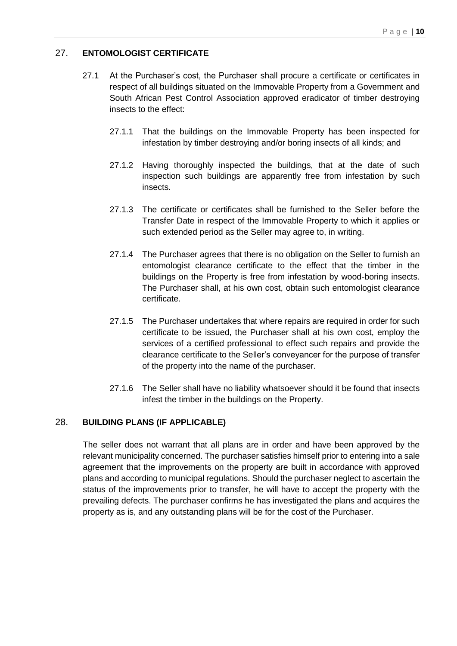## 27. **ENTOMOLOGIST CERTIFICATE**

- 27.1 At the Purchaser's cost, the Purchaser shall procure a certificate or certificates in respect of all buildings situated on the Immovable Property from a Government and South African Pest Control Association approved eradicator of timber destroying insects to the effect:
	- 27.1.1 That the buildings on the Immovable Property has been inspected for infestation by timber destroying and/or boring insects of all kinds; and
	- 27.1.2 Having thoroughly inspected the buildings, that at the date of such inspection such buildings are apparently free from infestation by such insects.
	- 27.1.3 The certificate or certificates shall be furnished to the Seller before the Transfer Date in respect of the Immovable Property to which it applies or such extended period as the Seller may agree to, in writing.
	- 27.1.4 The Purchaser agrees that there is no obligation on the Seller to furnish an entomologist clearance certificate to the effect that the timber in the buildings on the Property is free from infestation by wood-boring insects. The Purchaser shall, at his own cost, obtain such entomologist clearance certificate.
	- 27.1.5 The Purchaser undertakes that where repairs are required in order for such certificate to be issued, the Purchaser shall at his own cost, employ the services of a certified professional to effect such repairs and provide the clearance certificate to the Seller's conveyancer for the purpose of transfer of the property into the name of the purchaser.
	- 27.1.6 The Seller shall have no liability whatsoever should it be found that insects infest the timber in the buildings on the Property.

### 28. **BUILDING PLANS (IF APPLICABLE)**

The seller does not warrant that all plans are in order and have been approved by the relevant municipality concerned. The purchaser satisfies himself prior to entering into a sale agreement that the improvements on the property are built in accordance with approved plans and according to municipal regulations. Should the purchaser neglect to ascertain the status of the improvements prior to transfer, he will have to accept the property with the prevailing defects. The purchaser confirms he has investigated the plans and acquires the property as is, and any outstanding plans will be for the cost of the Purchaser.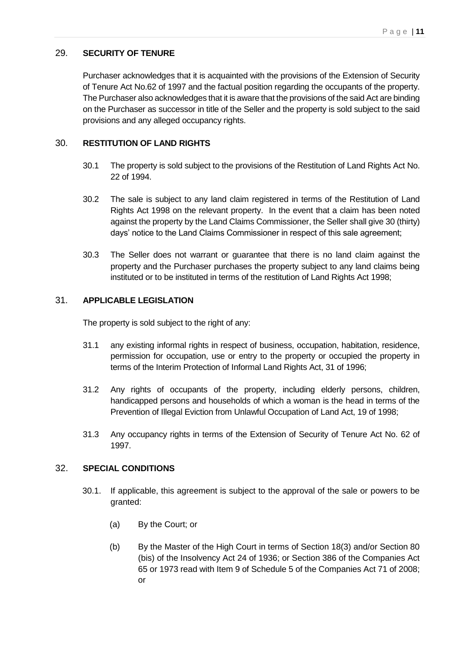## 29. **SECURITY OF TENURE**

Purchaser acknowledges that it is acquainted with the provisions of the Extension of Security of Tenure Act No.62 of 1997 and the factual position regarding the occupants of the property. The Purchaser also acknowledges that it is aware that the provisions of the said Act are binding on the Purchaser as successor in title of the Seller and the property is sold subject to the said provisions and any alleged occupancy rights.

## 30. **RESTITUTION OF LAND RIGHTS**

- 30.1 The property is sold subject to the provisions of the Restitution of Land Rights Act No. 22 of 1994.
- 30.2 The sale is subject to any land claim registered in terms of the Restitution of Land Rights Act 1998 on the relevant property. In the event that a claim has been noted against the property by the Land Claims Commissioner, the Seller shall give 30 (thirty) days' notice to the Land Claims Commissioner in respect of this sale agreement;
- 30.3 The Seller does not warrant or guarantee that there is no land claim against the property and the Purchaser purchases the property subject to any land claims being instituted or to be instituted in terms of the restitution of Land Rights Act 1998;

## 31. **APPLICABLE LEGISLATION**

The property is sold subject to the right of any:

- 31.1 any existing informal rights in respect of business, occupation, habitation, residence, permission for occupation, use or entry to the property or occupied the property in terms of the Interim Protection of Informal Land Rights Act, 31 of 1996;
- 31.2 Any rights of occupants of the property, including elderly persons, children, handicapped persons and households of which a woman is the head in terms of the Prevention of Illegal Eviction from Unlawful Occupation of Land Act, 19 of 1998;
- 31.3 Any occupancy rights in terms of the Extension of Security of Tenure Act No. 62 of 1997.

### 32. **SPECIAL CONDITIONS**

- 30.1. If applicable, this agreement is subject to the approval of the sale or powers to be granted:
	- (a) By the Court; or
	- (b) By the Master of the High Court in terms of Section 18(3) and/or Section 80 (bis) of the Insolvency Act 24 of 1936; or Section 386 of the Companies Act 65 or 1973 read with Item 9 of Schedule 5 of the Companies Act 71 of 2008; or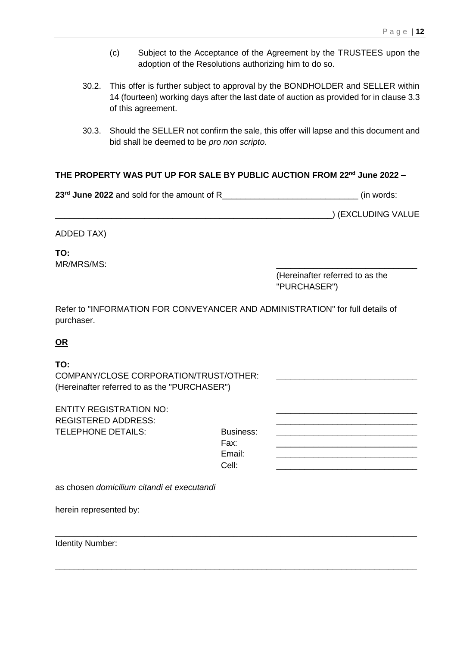- (c) Subject to the Acceptance of the Agreement by the TRUSTEES upon the adoption of the Resolutions authorizing him to do so.
- 30.2. This offer is further subject to approval by the BONDHOLDER and SELLER within 14 (fourteen) working days after the last date of auction as provided for in claus[e 3.3](#page-1-2) of this agreement.
- 30.3. Should the SELLER not confirm the sale, this offer will lapse and this document and bid shall be deemed to be *pro non scripto*.

# **THE PROPERTY WAS PUT UP FOR SALE BY PUBLIC AUCTION FROM 22nd June 2022 –**

**23rd June 2022** and sold for the amount of R\_\_\_\_\_\_\_\_\_\_\_\_\_\_\_\_\_\_\_\_\_\_\_\_\_\_\_\_\_ (in words:

\_\_\_\_\_\_\_\_\_\_\_\_\_\_\_\_\_\_\_\_\_\_\_\_\_\_\_\_\_\_\_\_\_\_\_\_\_\_\_\_\_\_\_\_\_\_\_\_\_\_\_\_\_\_\_\_\_\_\_) (EXCLUDING VALUE

ADDED TAX)

**TO:** MR/MRS/MS:

> (Hereinafter referred to as the "PURCHASER")

Refer to "INFORMATION FOR CONVEYANCER AND ADMINISTRATION" for full details of purchaser.

## **OR**

### **TO:**

COMPANY/CLOSE CORPORATION/TRUST/OTHER: (Hereinafter referred to as the "PURCHASER")

ENTITY REGISTRATION NO: REGISTERED ADDRESS: TELEPHONE DETAILS: Business: Fax: \_\_\_\_\_\_\_\_\_\_\_\_\_\_\_\_\_\_\_\_\_\_\_\_\_\_\_\_\_\_ Email: Cell: \_\_\_\_\_\_\_\_\_\_\_\_\_\_\_\_\_\_\_\_\_\_\_\_\_\_\_\_\_\_

\_\_\_\_\_\_\_\_\_\_\_\_\_\_\_\_\_\_\_\_\_\_\_\_\_\_\_\_\_\_\_\_\_\_\_\_\_\_\_\_\_\_\_\_\_\_\_\_\_\_\_\_\_\_\_\_\_\_\_\_\_\_\_\_\_\_\_\_\_\_\_\_\_\_\_\_\_

\_\_\_\_\_\_\_\_\_\_\_\_\_\_\_\_\_\_\_\_\_\_\_\_\_\_\_\_\_\_\_\_\_\_\_\_\_\_\_\_\_\_\_\_\_\_\_\_\_\_\_\_\_\_\_\_\_\_\_\_\_\_\_\_\_\_\_\_\_\_\_\_\_\_\_\_\_

as chosen *domicilium citandi et executandi*

herein represented by:

Identity Number: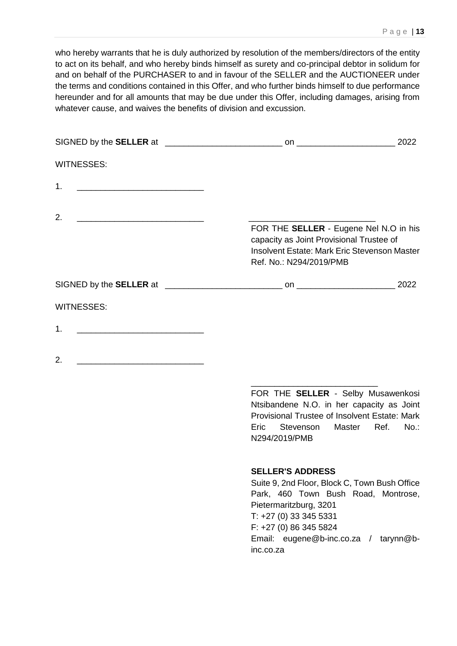who hereby warrants that he is duly authorized by resolution of the members/directors of the entity to act on its behalf, and who hereby binds himself as surety and co-principal debtor in solidum for and on behalf of the PURCHASER to and in favour of the SELLER and the AUCTIONEER under the terms and conditions contained in this Offer, and who further binds himself to due performance hereunder and for all amounts that may be due under this Offer, including damages, arising from whatever cause, and waives the benefits of division and excussion.

| <b>WITNESSES:</b>                                                                                                           |                                                                                                                                                                                                                                                     |         |
|-----------------------------------------------------------------------------------------------------------------------------|-----------------------------------------------------------------------------------------------------------------------------------------------------------------------------------------------------------------------------------------------------|---------|
| 1.<br><u> 2000 - Jan James James James James James James James James James James James James James James James James Ja</u> |                                                                                                                                                                                                                                                     |         |
| 2.                                                                                                                          |                                                                                                                                                                                                                                                     |         |
|                                                                                                                             | FOR THE SELLER - Eugene Nel N.O in his<br>capacity as Joint Provisional Trustee of<br>Insolvent Estate: Mark Eric Stevenson Master<br>Ref. No.: N294/2019/PMB                                                                                       |         |
|                                                                                                                             |                                                                                                                                                                                                                                                     |         |
| <b>WITNESSES:</b>                                                                                                           |                                                                                                                                                                                                                                                     |         |
| 1.                                                                                                                          |                                                                                                                                                                                                                                                     |         |
| 2.                                                                                                                          |                                                                                                                                                                                                                                                     |         |
|                                                                                                                             | FOR THE SELLER - Selby Musawenkosi<br>Ntsibandene N.O. in her capacity as Joint<br>Provisional Trustee of Insolvent Estate: Mark<br>Eric<br>Stevenson Master Ref.<br>N294/2019/PMB                                                                  | $No.$ : |
|                                                                                                                             | <b>SELLER'S ADDRESS</b><br>Suite 9, 2nd Floor, Block C, Town Bush Office<br>Park, 460 Town Bush Road, Montrose,<br>Pietermaritzburg, 3201<br>T: +27 (0) 33 345 5331<br>F: +27 (0) 86 345 5824<br>Email: eugene@b-inc.co.za / tarynn@b-<br>inc.co.za |         |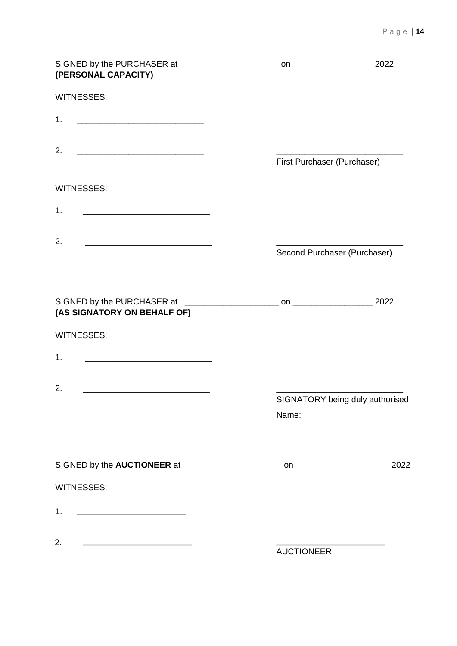| (PERSONAL CAPACITY)                                                                                                         |                              |                                 |
|-----------------------------------------------------------------------------------------------------------------------------|------------------------------|---------------------------------|
| <b>WITNESSES:</b>                                                                                                           |                              |                                 |
| 1.                                                                                                                          |                              |                                 |
| 2.                                                                                                                          | First Purchaser (Purchaser)  |                                 |
| <b>WITNESSES:</b>                                                                                                           |                              |                                 |
| 1.<br><u> 1989 - Johann Harry Harry Harry Harry Harry Harry Harry Harry Harry Harry Harry Harry Harry Harry Harry Harry</u> |                              |                                 |
| 2.                                                                                                                          | Second Purchaser (Purchaser) |                                 |
|                                                                                                                             |                              |                                 |
| (AS SIGNATORY ON BEHALF OF)                                                                                                 |                              |                                 |
| <b>WITNESSES:</b>                                                                                                           |                              |                                 |
| 1.<br><u> 1999 - Johann John Stein, mars and de British and de British and de British and de British and de British and</u> |                              |                                 |
| 2.                                                                                                                          |                              | SIGNATORY being duly authorised |
|                                                                                                                             | Name:                        |                                 |
|                                                                                                                             |                              |                                 |
|                                                                                                                             |                              | 2022                            |
| <b>WITNESSES:</b>                                                                                                           |                              |                                 |
|                                                                                                                             |                              |                                 |
| 2.<br><u> 1989 - Johann Barn, mars ann an t-Amhainn an t-A</u>                                                              | <b>AUCTIONEER</b>            |                                 |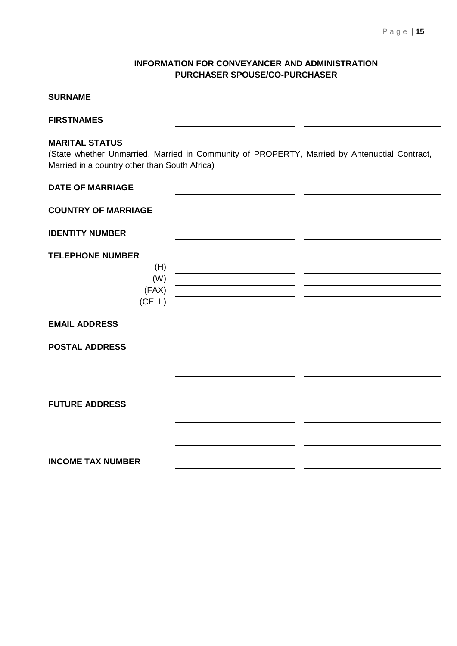## **INFORMATION FOR CONVEYANCER AND ADMINISTRATION PURCHASER SPOUSE/CO-PURCHASER**

| <b>SURNAME</b>                                                         |                                                                                              |
|------------------------------------------------------------------------|----------------------------------------------------------------------------------------------|
| <b>FIRSTNAMES</b>                                                      |                                                                                              |
| <b>MARITAL STATUS</b><br>Married in a country other than South Africa) | (State whether Unmarried, Married in Community of PROPERTY, Married by Antenuptial Contract, |
| <b>DATE OF MARRIAGE</b>                                                |                                                                                              |
| <b>COUNTRY OF MARRIAGE</b>                                             |                                                                                              |
| <b>IDENTITY NUMBER</b>                                                 |                                                                                              |
| <b>TELEPHONE NUMBER</b><br>(H)<br>(W)<br>(FAX)<br>(CELL)               |                                                                                              |
| <b>EMAIL ADDRESS</b>                                                   |                                                                                              |
| <b>POSTAL ADDRESS</b>                                                  |                                                                                              |
| <b>FUTURE ADDRESS</b>                                                  |                                                                                              |
| <b>INCOME TAX NUMBER</b>                                               |                                                                                              |